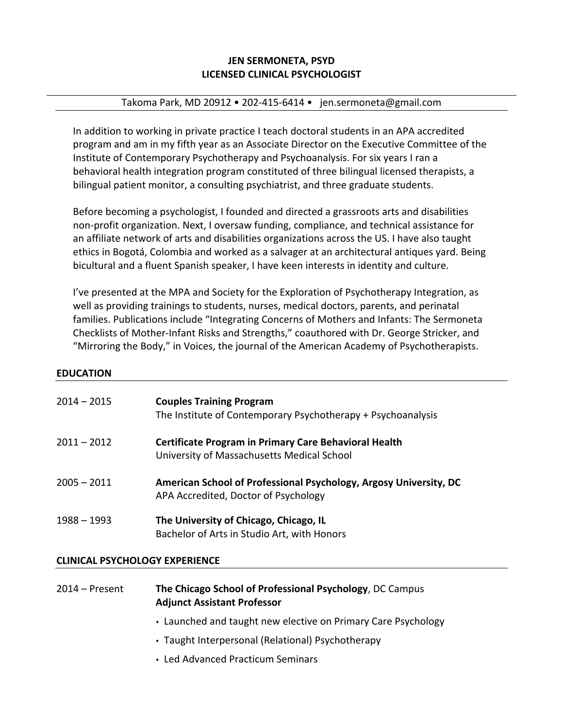# **JEN SERMONETA, PSYD LICENSED CLINICAL PSYCHOLOGIST**

### Takoma Park, MD 20912 • 202-415-6414 • jen.sermoneta@gmail.com

In addition to working in private practice I teach doctoral students in an APA accredited program and am in my fifth year as an Associate Director on the Executive Committee of the Institute of Contemporary Psychotherapy and Psychoanalysis. For six years I ran a behavioral health integration program constituted of three bilingual licensed therapists, a bilingual patient monitor, a consulting psychiatrist, and three graduate students.

Before becoming a psychologist, I founded and directed a grassroots arts and disabilities non-profit organization. Next, I oversaw funding, compliance, and technical assistance for an affiliate network of arts and disabilities organizations across the US. I have also taught ethics in Bogotá, Colombia and worked as a salvager at an architectural antiques yard. Being bicultural and a fluent Spanish speaker, I have keen interests in identity and culture.

I've presented at the MPA and Society for the Exploration of Psychotherapy Integration, as well as providing trainings to students, nurses, medical doctors, parents, and perinatal families. Publications include "Integrating Concerns of Mothers and Infants: The Sermoneta Checklists of Mother-Infant Risks and Strengths," coauthored with Dr. George Stricker, and "Mirroring the Body," in Voices, the journal of the American Academy of Psychotherapists.

#### **EDUCATION**

| $2014 - 2015$ | <b>Couples Training Program</b><br>The Institute of Contemporary Psychotherapy + Psychoanalysis            |
|---------------|------------------------------------------------------------------------------------------------------------|
| $2011 - 2012$ | <b>Certificate Program in Primary Care Behavioral Health</b><br>University of Massachusetts Medical School |
| $2005 - 2011$ | American School of Professional Psychology, Argosy University, DC<br>APA Accredited, Doctor of Psychology  |
| $1988 - 1993$ | The University of Chicago, Chicago, IL<br>Bachelor of Arts in Studio Art, with Honors                      |

## **CLINICAL PSYCHOLOGY EXPERIENCE**

| $2014$ – Present | The Chicago School of Professional Psychology, DC Campus |
|------------------|----------------------------------------------------------|
|                  | <b>Adjunct Assistant Professor</b>                       |

- Launched and taught new elective on Primary Care Psychology
- Taught Interpersonal (Relational) Psychotherapy
- Led Advanced Practicum Seminars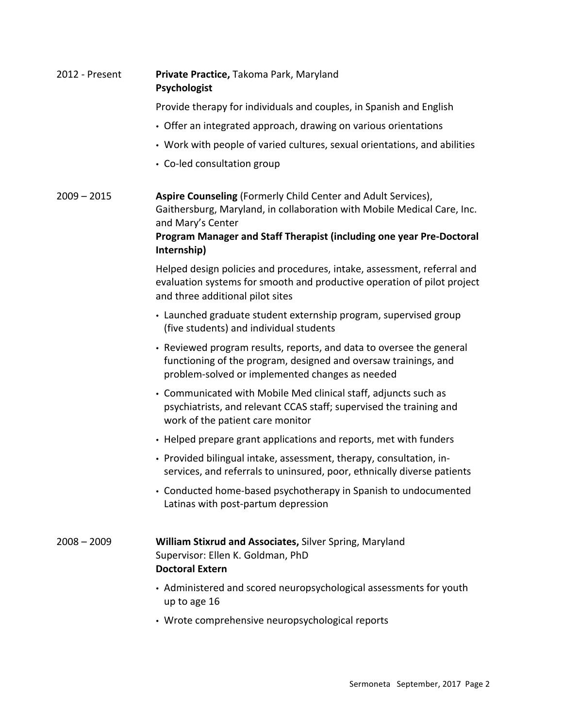| 2012 - Present | Private Practice, Takoma Park, Maryland<br><b>Psychologist</b>                                                                                                                                                                                       |
|----------------|------------------------------------------------------------------------------------------------------------------------------------------------------------------------------------------------------------------------------------------------------|
|                | Provide therapy for individuals and couples, in Spanish and English                                                                                                                                                                                  |
|                | • Offer an integrated approach, drawing on various orientations                                                                                                                                                                                      |
|                | • Work with people of varied cultures, sexual orientations, and abilities                                                                                                                                                                            |
|                | • Co-led consultation group                                                                                                                                                                                                                          |
| $2009 - 2015$  | Aspire Counseling (Formerly Child Center and Adult Services),<br>Gaithersburg, Maryland, in collaboration with Mobile Medical Care, Inc.<br>and Mary's Center<br>Program Manager and Staff Therapist (including one year Pre-Doctoral<br>Internship) |
|                | Helped design policies and procedures, intake, assessment, referral and<br>evaluation systems for smooth and productive operation of pilot project<br>and three additional pilot sites                                                               |
|                | • Launched graduate student externship program, supervised group<br>(five students) and individual students                                                                                                                                          |
|                | • Reviewed program results, reports, and data to oversee the general<br>functioning of the program, designed and oversaw trainings, and<br>problem-solved or implemented changes as needed                                                           |
|                | • Communicated with Mobile Med clinical staff, adjuncts such as<br>psychiatrists, and relevant CCAS staff; supervised the training and<br>work of the patient care monitor                                                                           |
|                | • Helped prepare grant applications and reports, met with funders                                                                                                                                                                                    |
|                | • Provided bilingual intake, assessment, therapy, consultation, in-<br>services, and referrals to uninsured, poor, ethnically diverse patients                                                                                                       |
|                | • Conducted home-based psychotherapy in Spanish to undocumented<br>Latinas with post-partum depression                                                                                                                                               |
| $2008 - 2009$  | <b>William Stixrud and Associates, Silver Spring, Maryland</b><br>Supervisor: Ellen K. Goldman, PhD<br><b>Doctoral Extern</b>                                                                                                                        |
|                | • Administered and scored neuropsychological assessments for youth<br>up to age 16                                                                                                                                                                   |
|                | • Wrote comprehensive neuropsychological reports                                                                                                                                                                                                     |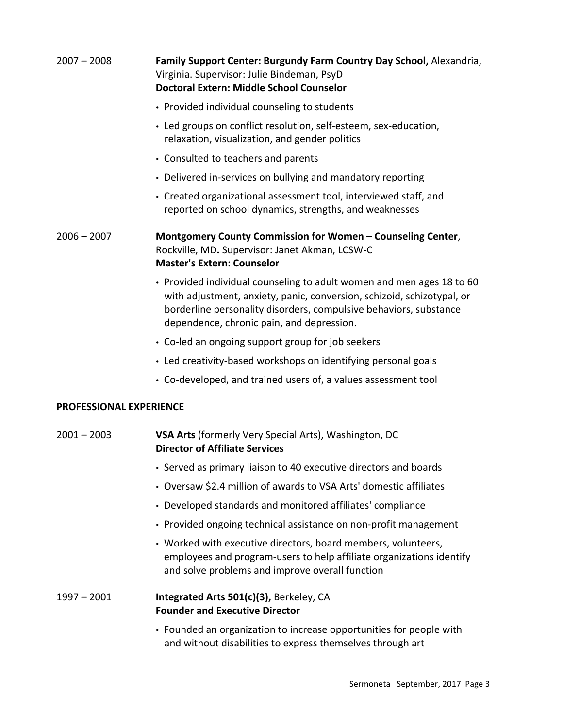| $2007 - 2008$                  | Family Support Center: Burgundy Farm Country Day School, Alexandria,<br>Virginia. Supervisor: Julie Bindeman, PsyD<br><b>Doctoral Extern: Middle School Counselor</b>                                                                                             |
|--------------------------------|-------------------------------------------------------------------------------------------------------------------------------------------------------------------------------------------------------------------------------------------------------------------|
|                                | • Provided individual counseling to students                                                                                                                                                                                                                      |
|                                | • Led groups on conflict resolution, self-esteem, sex-education,<br>relaxation, visualization, and gender politics                                                                                                                                                |
|                                | • Consulted to teachers and parents                                                                                                                                                                                                                               |
|                                | • Delivered in-services on bullying and mandatory reporting                                                                                                                                                                                                       |
|                                | • Created organizational assessment tool, interviewed staff, and<br>reported on school dynamics, strengths, and weaknesses                                                                                                                                        |
| $2006 - 2007$                  | Montgomery County Commission for Women - Counseling Center,<br>Rockville, MD. Supervisor: Janet Akman, LCSW-C<br><b>Master's Extern: Counselor</b>                                                                                                                |
|                                | • Provided individual counseling to adult women and men ages 18 to 60<br>with adjustment, anxiety, panic, conversion, schizoid, schizotypal, or<br>borderline personality disorders, compulsive behaviors, substance<br>dependence, chronic pain, and depression. |
|                                | • Co-led an ongoing support group for job seekers                                                                                                                                                                                                                 |
|                                | • Led creativity-based workshops on identifying personal goals                                                                                                                                                                                                    |
|                                | • Co-developed, and trained users of, a values assessment tool                                                                                                                                                                                                    |
| <b>PROFESSIONAL EXPERIENCE</b> |                                                                                                                                                                                                                                                                   |
| $2001 - 2003$                  | <b>VSA Arts</b> (formerly Very Special Arts), Washington, DC<br><b>Director of Affiliate Services</b>                                                                                                                                                             |
|                                | • Served as primary liaison to 40 executive directors and boards                                                                                                                                                                                                  |
|                                | • Oversaw \$2.4 million of awards to VSA Arts' domestic affiliates                                                                                                                                                                                                |
|                                | • Developed standards and monitored affiliates' compliance                                                                                                                                                                                                        |
|                                | • Provided ongoing technical assistance on non-profit management                                                                                                                                                                                                  |
|                                | • Worked with executive directors, board members, volunteers,<br>employees and program-users to help affiliate organizations identify<br>and solve problems and improve overall function                                                                          |
| $1997 - 2001$                  | Integrated Arts 501(c)(3), Berkeley, CA<br><b>Founder and Executive Director</b>                                                                                                                                                                                  |
|                                | Founded an organization to increase opportunities for people with                                                                                                                                                                                                 |

• Founded an organization to increase opportunities for people with and without disabilities to express themselves through art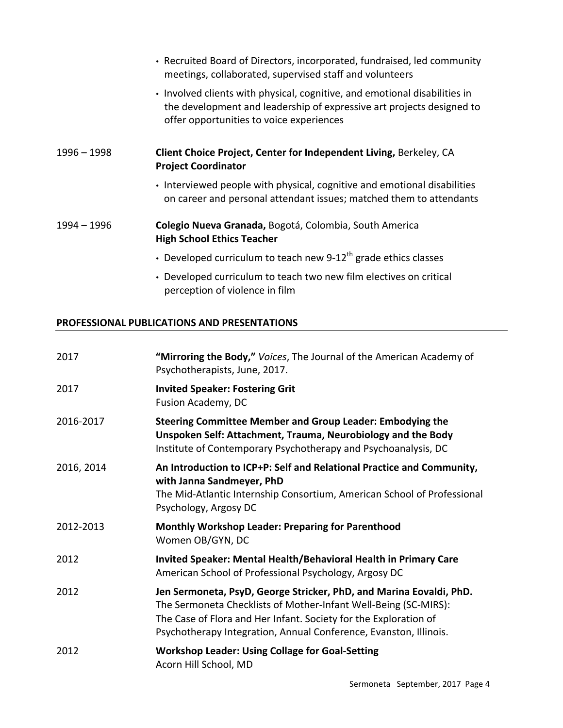|             | • Recruited Board of Directors, incorporated, fundraised, led community<br>meetings, collaborated, supervised staff and volunteers                                                              |
|-------------|-------------------------------------------------------------------------------------------------------------------------------------------------------------------------------------------------|
|             | • Involved clients with physical, cognitive, and emotional disabilities in<br>the development and leadership of expressive art projects designed to<br>offer opportunities to voice experiences |
| 1996 - 1998 | Client Choice Project, Center for Independent Living, Berkeley, CA<br><b>Project Coordinator</b>                                                                                                |
|             | • Interviewed people with physical, cognitive and emotional disabilities<br>on career and personal attendant issues; matched them to attendants                                                 |
| 1994 – 1996 | Colegio Nueva Granada, Bogotá, Colombia, South America<br><b>High School Ethics Teacher</b>                                                                                                     |
|             | • Developed curriculum to teach new 9-12 <sup>th</sup> grade ethics classes                                                                                                                     |
|             | • Developed curriculum to teach two new film electives on critical                                                                                                                              |

## **PROFESSIONAL PUBLICATIONS AND PRESENTATIONS**

perception of violence in film

| 2017       | "Mirroring the Body," Voices, The Journal of the American Academy of<br>Psychotherapists, June, 2017.                                                                                                                                                                           |
|------------|---------------------------------------------------------------------------------------------------------------------------------------------------------------------------------------------------------------------------------------------------------------------------------|
| 2017       | <b>Invited Speaker: Fostering Grit</b><br>Fusion Academy, DC                                                                                                                                                                                                                    |
| 2016-2017  | <b>Steering Committee Member and Group Leader: Embodying the</b><br>Unspoken Self: Attachment, Trauma, Neurobiology and the Body<br>Institute of Contemporary Psychotherapy and Psychoanalysis, DC                                                                              |
| 2016, 2014 | An Introduction to ICP+P: Self and Relational Practice and Community,<br>with Janna Sandmeyer, PhD<br>The Mid-Atlantic Internship Consortium, American School of Professional<br>Psychology, Argosy DC                                                                          |
| 2012-2013  | <b>Monthly Workshop Leader: Preparing for Parenthood</b><br>Women OB/GYN, DC                                                                                                                                                                                                    |
| 2012       | <b>Invited Speaker: Mental Health/Behavioral Health in Primary Care</b><br>American School of Professional Psychology, Argosy DC                                                                                                                                                |
| 2012       | Jen Sermoneta, PsyD, George Stricker, PhD, and Marina Eovaldi, PhD.<br>The Sermoneta Checklists of Mother-Infant Well-Being (SC-MIRS):<br>The Case of Flora and Her Infant. Society for the Exploration of<br>Psychotherapy Integration, Annual Conference, Evanston, Illinois. |
| 2012       | <b>Workshop Leader: Using Collage for Goal-Setting</b><br>Acorn Hill School, MD                                                                                                                                                                                                 |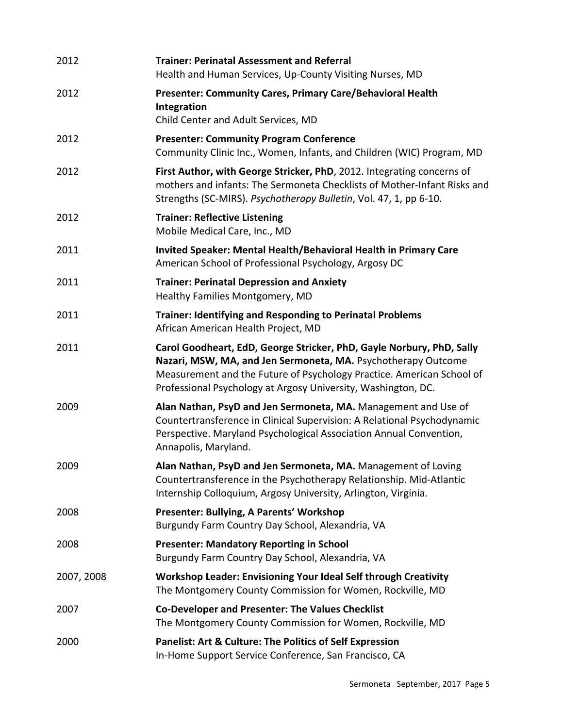| 2012       | <b>Trainer: Perinatal Assessment and Referral</b><br>Health and Human Services, Up-County Visiting Nurses, MD                                                                                                                                                                    |
|------------|----------------------------------------------------------------------------------------------------------------------------------------------------------------------------------------------------------------------------------------------------------------------------------|
| 2012       | <b>Presenter: Community Cares, Primary Care/Behavioral Health</b><br>Integration<br>Child Center and Adult Services, MD                                                                                                                                                          |
| 2012       | <b>Presenter: Community Program Conference</b><br>Community Clinic Inc., Women, Infants, and Children (WIC) Program, MD                                                                                                                                                          |
| 2012       | First Author, with George Stricker, PhD, 2012. Integrating concerns of<br>mothers and infants: The Sermoneta Checklists of Mother-Infant Risks and<br>Strengths (SC-MIRS). Psychotherapy Bulletin, Vol. 47, 1, pp 6-10.                                                          |
| 2012       | <b>Trainer: Reflective Listening</b><br>Mobile Medical Care, Inc., MD                                                                                                                                                                                                            |
| 2011       | Invited Speaker: Mental Health/Behavioral Health in Primary Care<br>American School of Professional Psychology, Argosy DC                                                                                                                                                        |
| 2011       | <b>Trainer: Perinatal Depression and Anxiety</b><br>Healthy Families Montgomery, MD                                                                                                                                                                                              |
| 2011       | <b>Trainer: Identifying and Responding to Perinatal Problems</b><br>African American Health Project, MD                                                                                                                                                                          |
| 2011       | Carol Goodheart, EdD, George Stricker, PhD, Gayle Norbury, PhD, Sally<br>Nazari, MSW, MA, and Jen Sermoneta, MA. Psychotherapy Outcome<br>Measurement and the Future of Psychology Practice. American School of<br>Professional Psychology at Argosy University, Washington, DC. |
| 2009       | Alan Nathan, PsyD and Jen Sermoneta, MA. Management and Use of<br>Countertransference in Clinical Supervision: A Relational Psychodynamic<br>Perspective. Maryland Psychological Association Annual Convention,<br>Annapolis, Maryland.                                          |
| 2009       | Alan Nathan, PsyD and Jen Sermoneta, MA. Management of Loving<br>Countertransference in the Psychotherapy Relationship. Mid-Atlantic<br>Internship Colloquium, Argosy University, Arlington, Virginia.                                                                           |
| 2008       | Presenter: Bullying, A Parents' Workshop<br>Burgundy Farm Country Day School, Alexandria, VA                                                                                                                                                                                     |
| 2008       | <b>Presenter: Mandatory Reporting in School</b><br>Burgundy Farm Country Day School, Alexandria, VA                                                                                                                                                                              |
| 2007, 2008 | <b>Workshop Leader: Envisioning Your Ideal Self through Creativity</b><br>The Montgomery County Commission for Women, Rockville, MD                                                                                                                                              |
| 2007       | <b>Co-Developer and Presenter: The Values Checklist</b><br>The Montgomery County Commission for Women, Rockville, MD                                                                                                                                                             |
| 2000       | <b>Panelist: Art &amp; Culture: The Politics of Self Expression</b><br>In-Home Support Service Conference, San Francisco, CA                                                                                                                                                     |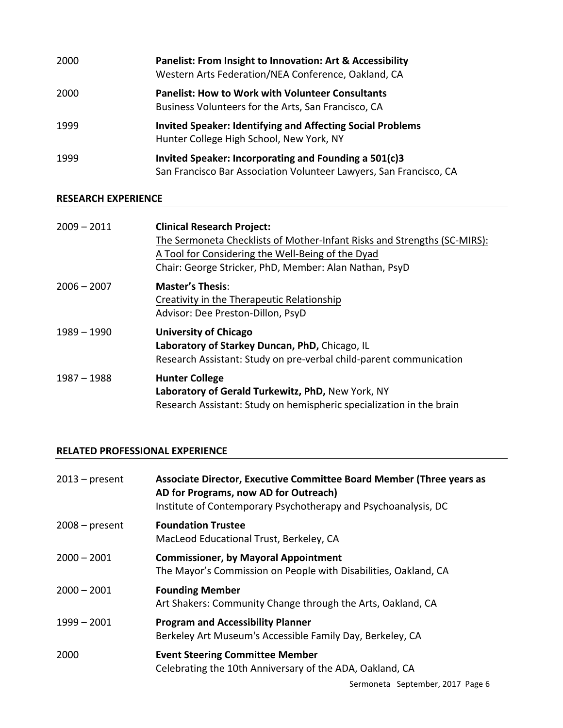| 2000 | <b>Panelist: From Insight to Innovation: Art &amp; Accessibility</b><br>Western Arts Federation/NEA Conference, Oakland, CA |
|------|-----------------------------------------------------------------------------------------------------------------------------|
| 2000 | <b>Panelist: How to Work with Volunteer Consultants</b><br>Business Volunteers for the Arts, San Francisco, CA              |
| 1999 | <b>Invited Speaker: Identifying and Affecting Social Problems</b><br>Hunter College High School, New York, NY               |
| 1999 | Invited Speaker: Incorporating and Founding a 501(c)3<br>San Francisco Bar Association Volunteer Lawyers, San Francisco, CA |

## **RESEARCH EXPERIENCE**

| $2009 - 2011$ | <b>Clinical Research Project:</b><br>The Sermoneta Checklists of Mother-Infant Risks and Strengths (SC-MIRS):<br>A Tool for Considering the Well-Being of the Dyad<br>Chair: George Stricker, PhD, Member: Alan Nathan, PsyD |
|---------------|------------------------------------------------------------------------------------------------------------------------------------------------------------------------------------------------------------------------------|
| $2006 - 2007$ | <b>Master's Thesis:</b><br>Creativity in the Therapeutic Relationship<br>Advisor: Dee Preston-Dillon, PsyD                                                                                                                   |
| $1989 - 1990$ | <b>University of Chicago</b><br>Laboratory of Starkey Duncan, PhD, Chicago, IL<br>Research Assistant: Study on pre-verbal child-parent communication                                                                         |
| $1987 - 1988$ | <b>Hunter College</b><br>Laboratory of Gerald Turkewitz, PhD, New York, NY<br>Research Assistant: Study on hemispheric specialization in the brain                                                                           |

## **RELATED PROFESSIONAL EXPERIENCE**

| Associate Director, Executive Committee Board Member (Three years as<br>AD for Programs, now AD for Outreach)<br>Institute of Contemporary Psychotherapy and Psychoanalysis, DC |
|---------------------------------------------------------------------------------------------------------------------------------------------------------------------------------|
| <b>Foundation Trustee</b><br>MacLeod Educational Trust, Berkeley, CA                                                                                                            |
| <b>Commissioner, by Mayoral Appointment</b><br>The Mayor's Commission on People with Disabilities, Oakland, CA                                                                  |
| <b>Founding Member</b><br>Art Shakers: Community Change through the Arts, Oakland, CA                                                                                           |
| <b>Program and Accessibility Planner</b><br>Berkeley Art Museum's Accessible Family Day, Berkeley, CA                                                                           |
| <b>Event Steering Committee Member</b><br>Celebrating the 10th Anniversary of the ADA, Oakland, CA                                                                              |
|                                                                                                                                                                                 |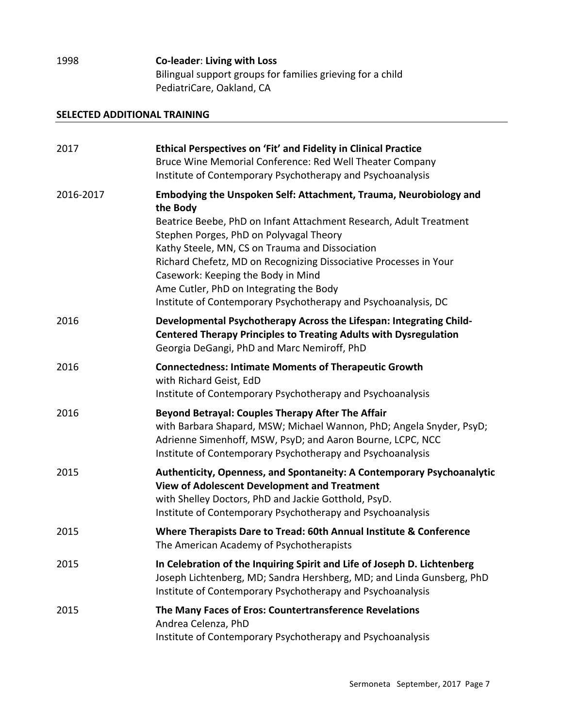1998 **Co-leader: Living with Loss** Bilingual support groups for families grieving for a child PediatriCare, Oakland, CA

## **SELECTED ADDITIONAL TRAINING**

| 2017      | Ethical Perspectives on 'Fit' and Fidelity in Clinical Practice<br>Bruce Wine Memorial Conference: Red Well Theater Company<br>Institute of Contemporary Psychotherapy and Psychoanalysis                                                                                                                                                                                                                                                                                 |
|-----------|---------------------------------------------------------------------------------------------------------------------------------------------------------------------------------------------------------------------------------------------------------------------------------------------------------------------------------------------------------------------------------------------------------------------------------------------------------------------------|
| 2016-2017 | Embodying the Unspoken Self: Attachment, Trauma, Neurobiology and<br>the Body<br>Beatrice Beebe, PhD on Infant Attachment Research, Adult Treatment<br>Stephen Porges, PhD on Polyvagal Theory<br>Kathy Steele, MN, CS on Trauma and Dissociation<br>Richard Chefetz, MD on Recognizing Dissociative Processes in Your<br>Casework: Keeping the Body in Mind<br>Ame Cutler, PhD on Integrating the Body<br>Institute of Contemporary Psychotherapy and Psychoanalysis, DC |
| 2016      | Developmental Psychotherapy Across the Lifespan: Integrating Child-<br><b>Centered Therapy Principles to Treating Adults with Dysregulation</b><br>Georgia DeGangi, PhD and Marc Nemiroff, PhD                                                                                                                                                                                                                                                                            |
| 2016      | <b>Connectedness: Intimate Moments of Therapeutic Growth</b><br>with Richard Geist, EdD<br>Institute of Contemporary Psychotherapy and Psychoanalysis                                                                                                                                                                                                                                                                                                                     |
| 2016      | <b>Beyond Betrayal: Couples Therapy After The Affair</b><br>with Barbara Shapard, MSW; Michael Wannon, PhD; Angela Snyder, PsyD;<br>Adrienne Simenhoff, MSW, PsyD; and Aaron Bourne, LCPC, NCC<br>Institute of Contemporary Psychotherapy and Psychoanalysis                                                                                                                                                                                                              |
| 2015      | Authenticity, Openness, and Spontaneity: A Contemporary Psychoanalytic<br><b>View of Adolescent Development and Treatment</b><br>with Shelley Doctors, PhD and Jackie Gotthold, PsyD.<br>Institute of Contemporary Psychotherapy and Psychoanalysis                                                                                                                                                                                                                       |
| 2015      | Where Therapists Dare to Tread: 60th Annual Institute & Conference<br>The American Academy of Psychotherapists                                                                                                                                                                                                                                                                                                                                                            |
| 2015      | In Celebration of the Inquiring Spirit and Life of Joseph D. Lichtenberg<br>Joseph Lichtenberg, MD; Sandra Hershberg, MD; and Linda Gunsberg, PhD<br>Institute of Contemporary Psychotherapy and Psychoanalysis                                                                                                                                                                                                                                                           |
| 2015      | The Many Faces of Eros: Countertransference Revelations<br>Andrea Celenza, PhD<br>Institute of Contemporary Psychotherapy and Psychoanalysis                                                                                                                                                                                                                                                                                                                              |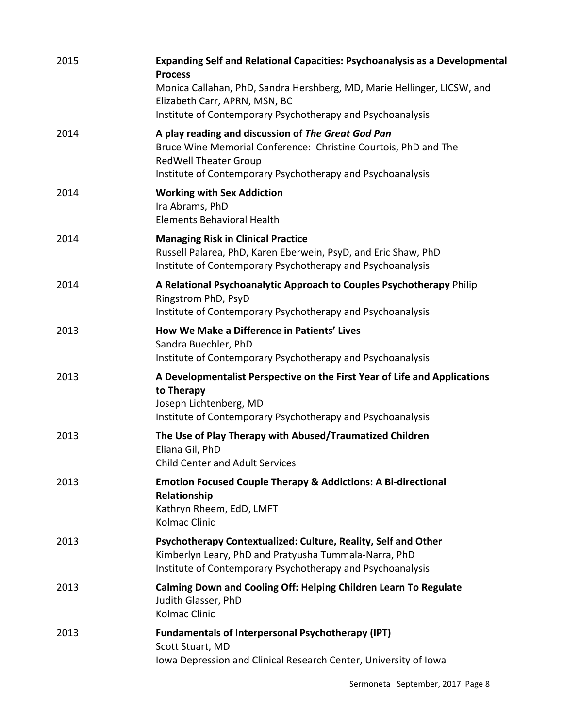| 2015 | Expanding Self and Relational Capacities: Psychoanalysis as a Developmental<br><b>Process</b><br>Monica Callahan, PhD, Sandra Hershberg, MD, Marie Hellinger, LICSW, and<br>Elizabeth Carr, APRN, MSN, BC<br>Institute of Contemporary Psychotherapy and Psychoanalysis |
|------|-------------------------------------------------------------------------------------------------------------------------------------------------------------------------------------------------------------------------------------------------------------------------|
| 2014 | A play reading and discussion of The Great God Pan<br>Bruce Wine Memorial Conference: Christine Courtois, PhD and The<br><b>RedWell Theater Group</b><br>Institute of Contemporary Psychotherapy and Psychoanalysis                                                     |
| 2014 | <b>Working with Sex Addiction</b><br>Ira Abrams, PhD<br><b>Elements Behavioral Health</b>                                                                                                                                                                               |
| 2014 | <b>Managing Risk in Clinical Practice</b><br>Russell Palarea, PhD, Karen Eberwein, PsyD, and Eric Shaw, PhD<br>Institute of Contemporary Psychotherapy and Psychoanalysis                                                                                               |
| 2014 | A Relational Psychoanalytic Approach to Couples Psychotherapy Philip<br>Ringstrom PhD, PsyD<br>Institute of Contemporary Psychotherapy and Psychoanalysis                                                                                                               |
| 2013 | How We Make a Difference in Patients' Lives<br>Sandra Buechler, PhD<br>Institute of Contemporary Psychotherapy and Psychoanalysis                                                                                                                                       |
| 2013 | A Developmentalist Perspective on the First Year of Life and Applications<br>to Therapy<br>Joseph Lichtenberg, MD<br>Institute of Contemporary Psychotherapy and Psychoanalysis                                                                                         |
| 2013 | The Use of Play Therapy with Abused/Traumatized Children<br>Eliana Gil, PhD<br><b>Child Center and Adult Services</b>                                                                                                                                                   |
| 2013 | <b>Emotion Focused Couple Therapy &amp; Addictions: A Bi-directional</b><br>Relationship<br>Kathryn Rheem, EdD, LMFT<br><b>Kolmac Clinic</b>                                                                                                                            |
| 2013 | Psychotherapy Contextualized: Culture, Reality, Self and Other<br>Kimberlyn Leary, PhD and Pratyusha Tummala-Narra, PhD<br>Institute of Contemporary Psychotherapy and Psychoanalysis                                                                                   |
| 2013 | Calming Down and Cooling Off: Helping Children Learn To Regulate<br>Judith Glasser, PhD<br>Kolmac Clinic                                                                                                                                                                |
| 2013 | <b>Fundamentals of Interpersonal Psychotherapy (IPT)</b><br>Scott Stuart, MD<br>Iowa Depression and Clinical Research Center, University of Iowa                                                                                                                        |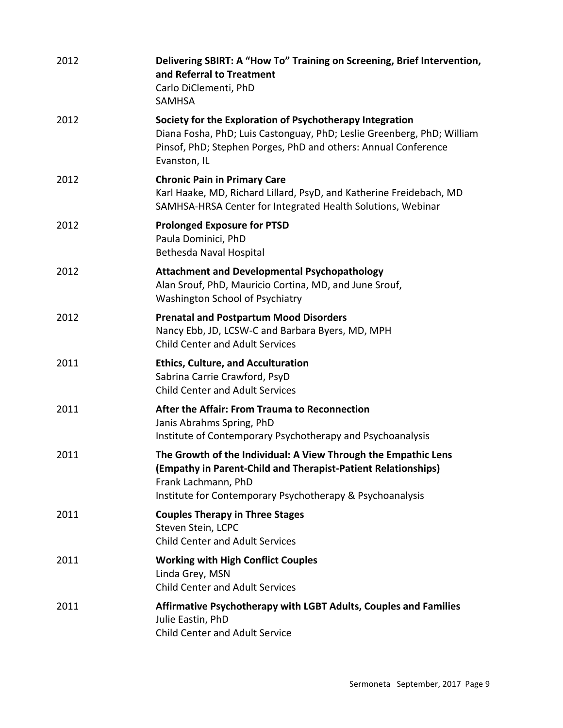| 2012 | Delivering SBIRT: A "How To" Training on Screening, Brief Intervention,<br>and Referral to Treatment<br>Carlo DiClementi, PhD<br><b>SAMHSA</b>                                                                       |
|------|----------------------------------------------------------------------------------------------------------------------------------------------------------------------------------------------------------------------|
| 2012 | Society for the Exploration of Psychotherapy Integration<br>Diana Fosha, PhD; Luis Castonguay, PhD; Leslie Greenberg, PhD; William<br>Pinsof, PhD; Stephen Porges, PhD and others: Annual Conference<br>Evanston, IL |
| 2012 | <b>Chronic Pain in Primary Care</b><br>Karl Haake, MD, Richard Lillard, PsyD, and Katherine Freidebach, MD<br>SAMHSA-HRSA Center for Integrated Health Solutions, Webinar                                            |
| 2012 | <b>Prolonged Exposure for PTSD</b><br>Paula Dominici, PhD<br><b>Bethesda Naval Hospital</b>                                                                                                                          |
| 2012 | <b>Attachment and Developmental Psychopathology</b><br>Alan Srouf, PhD, Mauricio Cortina, MD, and June Srouf,<br>Washington School of Psychiatry                                                                     |
| 2012 | <b>Prenatal and Postpartum Mood Disorders</b><br>Nancy Ebb, JD, LCSW-C and Barbara Byers, MD, MPH<br><b>Child Center and Adult Services</b>                                                                          |
| 2011 | <b>Ethics, Culture, and Acculturation</b><br>Sabrina Carrie Crawford, PsyD<br><b>Child Center and Adult Services</b>                                                                                                 |
| 2011 | After the Affair: From Trauma to Reconnection<br>Janis Abrahms Spring, PhD<br>Institute of Contemporary Psychotherapy and Psychoanalysis                                                                             |
| 2011 | The Growth of the Individual: A View Through the Empathic Lens<br>(Empathy in Parent-Child and Therapist-Patient Relationships)<br>Frank Lachmann, PhD<br>Institute for Contemporary Psychotherapy & Psychoanalysis  |
| 2011 | <b>Couples Therapy in Three Stages</b><br>Steven Stein, LCPC<br><b>Child Center and Adult Services</b>                                                                                                               |
| 2011 | <b>Working with High Conflict Couples</b><br>Linda Grey, MSN<br><b>Child Center and Adult Services</b>                                                                                                               |
| 2011 | Affirmative Psychotherapy with LGBT Adults, Couples and Families<br>Julie Eastin, PhD<br><b>Child Center and Adult Service</b>                                                                                       |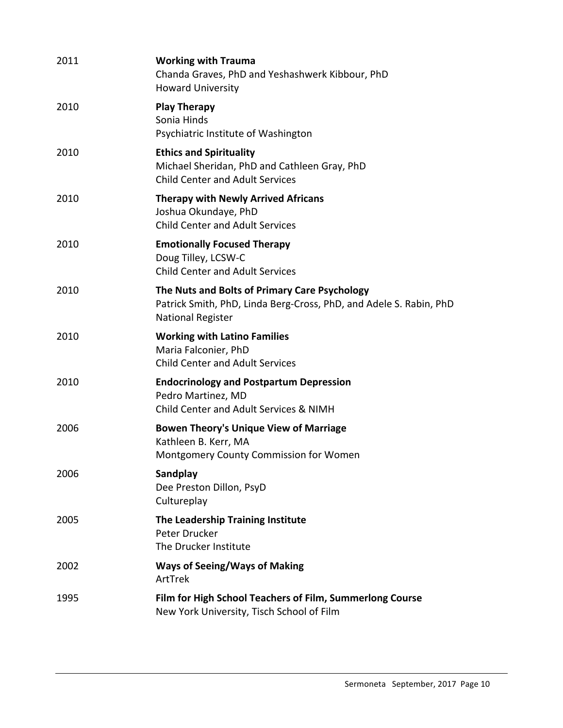| <b>Working with Trauma</b><br>Chanda Graves, PhD and Yeshashwerk Kibbour, PhD<br><b>Howard University</b>                                       |
|-------------------------------------------------------------------------------------------------------------------------------------------------|
| <b>Play Therapy</b><br>Sonia Hinds<br>Psychiatric Institute of Washington                                                                       |
| <b>Ethics and Spirituality</b><br>Michael Sheridan, PhD and Cathleen Gray, PhD<br><b>Child Center and Adult Services</b>                        |
| <b>Therapy with Newly Arrived Africans</b><br>Joshua Okundaye, PhD<br><b>Child Center and Adult Services</b>                                    |
| <b>Emotionally Focused Therapy</b><br>Doug Tilley, LCSW-C<br><b>Child Center and Adult Services</b>                                             |
| The Nuts and Bolts of Primary Care Psychology<br>Patrick Smith, PhD, Linda Berg-Cross, PhD, and Adele S. Rabin, PhD<br><b>National Register</b> |
| <b>Working with Latino Families</b><br>Maria Falconier, PhD<br><b>Child Center and Adult Services</b>                                           |
| <b>Endocrinology and Postpartum Depression</b><br>Pedro Martinez, MD<br>Child Center and Adult Services & NIMH                                  |
| <b>Bowen Theory's Unique View of Marriage</b><br>Kathleen B. Kerr, MA<br>Montgomery County Commission for Women                                 |
| Sandplay<br>Dee Preston Dillon, PsyD<br>Cultureplay                                                                                             |
| The Leadership Training Institute<br>Peter Drucker<br>The Drucker Institute                                                                     |
| <b>Ways of Seeing/Ways of Making</b><br>ArtTrek                                                                                                 |
| Film for High School Teachers of Film, Summerlong Course<br>New York University, Tisch School of Film                                           |
|                                                                                                                                                 |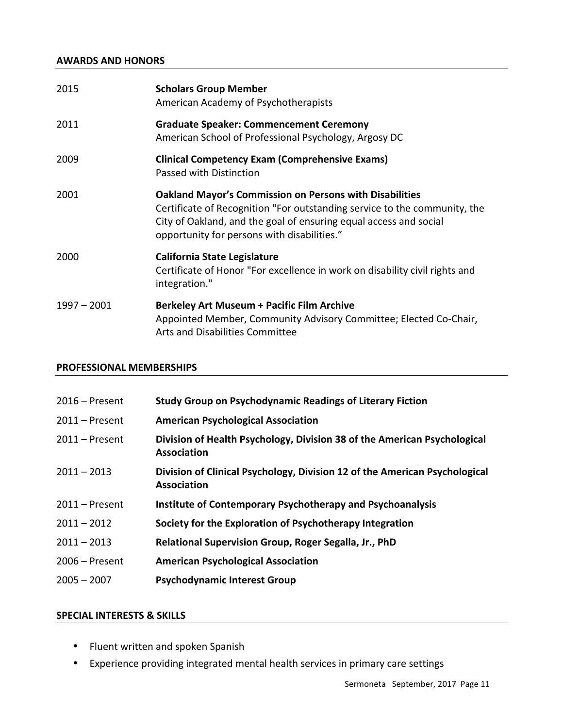## **AWARDS AND HONORS**

| 2015          | <b>Scholars Group Member</b><br>American Academy of Psychotherapists                                                                                                                                                                                            |
|---------------|-----------------------------------------------------------------------------------------------------------------------------------------------------------------------------------------------------------------------------------------------------------------|
| 2011          | <b>Graduate Speaker: Commencement Ceremony</b><br>American School of Professional Psychology, Argosy DC                                                                                                                                                         |
| 2009          | <b>Clinical Competency Exam (Comprehensive Exams)</b><br>Passed with Distinction                                                                                                                                                                                |
| 2001          | <b>Oakland Mayor's Commission on Persons with Disabilities</b><br>Certificate of Recognition "For outstanding service to the community, the<br>City of Oakland, and the goal of ensuring equal access and social<br>opportunity for persons with disabilities." |
| 2000          | <b>California State Legislature</b><br>Certificate of Honor "For excellence in work on disability civil rights and<br>integration."                                                                                                                             |
| $1997 - 2001$ | <b>Berkeley Art Museum + Pacific Film Archive</b><br>Appointed Member, Community Advisory Committee; Elected Co-Chair,<br><b>Arts and Disabilities Committee</b>                                                                                                |

## **PROFESSIONAL MEMBERSHIPS**

| $2016$ – Present | <b>Study Group on Psychodynamic Readings of Literary Fiction</b>                                 |
|------------------|--------------------------------------------------------------------------------------------------|
| $2011 -$ Present | <b>American Psychological Association</b>                                                        |
| $2011 -$ Present | Division of Health Psychology, Division 38 of the American Psychological<br><b>Association</b>   |
| $2011 - 2013$    | Division of Clinical Psychology, Division 12 of the American Psychological<br><b>Association</b> |
| $2011 -$ Present | Institute of Contemporary Psychotherapy and Psychoanalysis                                       |
| $2011 - 2012$    | Society for the Exploration of Psychotherapy Integration                                         |
| $2011 - 2013$    | Relational Supervision Group, Roger Segalla, Jr., PhD                                            |
| $2006 -$ Present | <b>American Psychological Association</b>                                                        |
| $2005 - 2007$    | <b>Psychodynamic Interest Group</b>                                                              |

## **SPECIAL INTERESTS & SKILLS**

- Fluent written and spoken Spanish
- Experience providing integrated mental health services in primary care settings